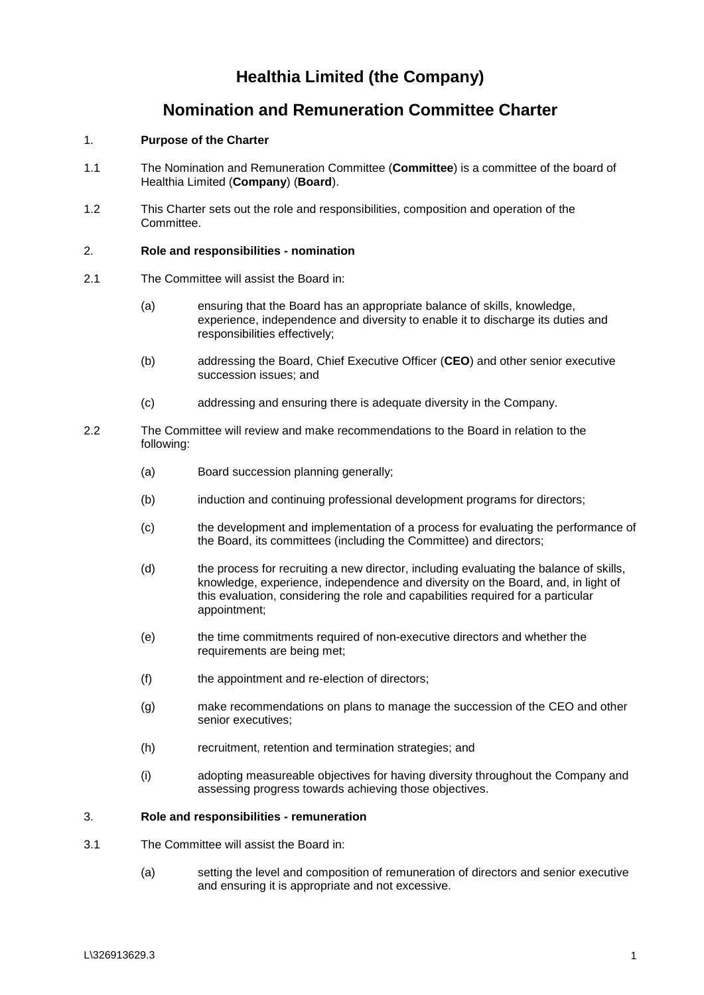# **Healthia Limited (the Company)**

## **Nomination and Remuneration Committee Charter**

## 1. **Purpose of the Charter**

- 1.1 The Nomination and Remuneration Committee (**Committee**) is a committee of the board of Healthia Limited (**Company**) (**Board**).
- 1.2 This Charter sets out the role and responsibilities, composition and operation of the Committee.

#### 2. **Role and responsibilities - nomination**

- 2.1 The Committee will assist the Board in:
	- (a) ensuring that the Board has an appropriate balance of skills, knowledge, experience, independence and diversity to enable it to discharge its duties and responsibilities effectively;
	- (b) addressing the Board, Chief Executive Officer (**CEO**) and other senior executive succession issues; and
	- (c) addressing and ensuring there is adequate diversity in the Company.
- 2.2 The Committee will review and make recommendations to the Board in relation to the following:
	- (a) Board succession planning generally;
	- (b) induction and continuing professional development programs for directors;
	- (c) the development and implementation of a process for evaluating the performance of the Board, its committees (including the Committee) and directors;
	- (d) the process for recruiting a new director, including evaluating the balance of skills, knowledge, experience, independence and diversity on the Board, and, in light of this evaluation, considering the role and capabilities required for a particular appointment;
	- (e) the time commitments required of non-executive directors and whether the requirements are being met:
	- (f) the appointment and re-election of directors;
	- (g) make recommendations on plans to manage the succession of the CEO and other senior executives;
	- (h) recruitment, retention and termination strategies; and
	- (i) adopting measureable objectives for having diversity throughout the Company and assessing progress towards achieving those objectives.

#### 3. **Role and responsibilities - remuneration**

- 3.1 The Committee will assist the Board in:
	- (a) setting the level and composition of remuneration of directors and senior executive and ensuring it is appropriate and not excessive.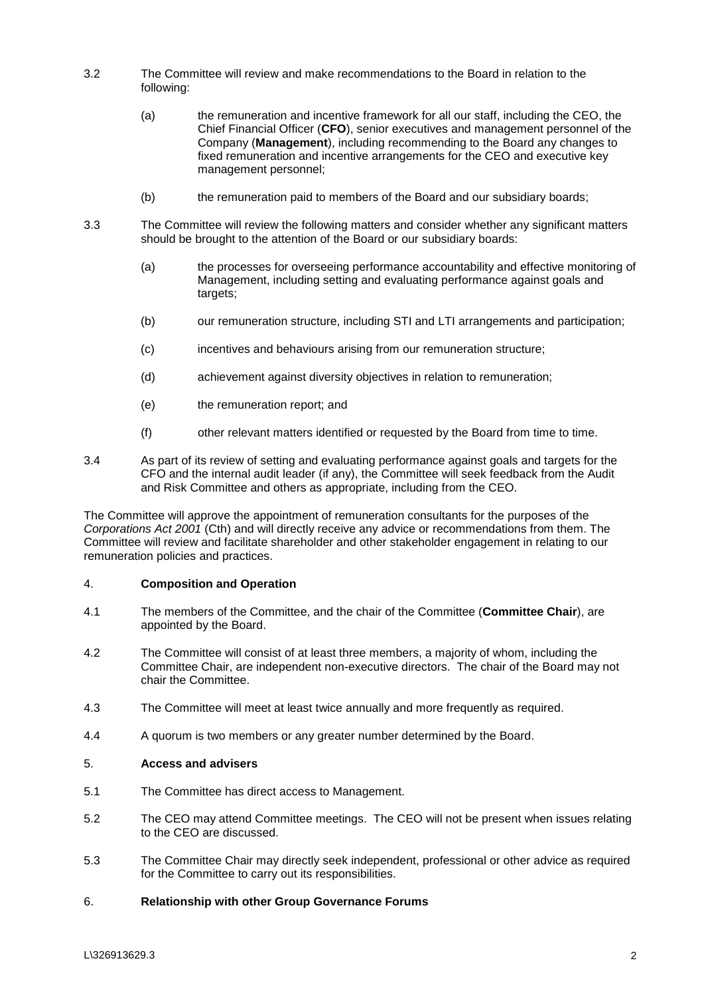- 3.2 The Committee will review and make recommendations to the Board in relation to the following:
	- (a) the remuneration and incentive framework for all our staff, including the CEO, the Chief Financial Officer (**CFO**), senior executives and management personnel of the Company (**Management**), including recommending to the Board any changes to fixed remuneration and incentive arrangements for the CEO and executive key management personnel;
	- (b) the remuneration paid to members of the Board and our subsidiary boards;
- 3.3 The Committee will review the following matters and consider whether any significant matters should be brought to the attention of the Board or our subsidiary boards:
	- (a) the processes for overseeing performance accountability and effective monitoring of Management, including setting and evaluating performance against goals and targets;
	- (b) our remuneration structure, including STI and LTI arrangements and participation;
	- (c) incentives and behaviours arising from our remuneration structure;
	- (d) achievement against diversity objectives in relation to remuneration;
	- (e) the remuneration report; and
	- (f) other relevant matters identified or requested by the Board from time to time.
- 3.4 As part of its review of setting and evaluating performance against goals and targets for the CFO and the internal audit leader (if any), the Committee will seek feedback from the Audit and Risk Committee and others as appropriate, including from the CEO.

The Committee will approve the appointment of remuneration consultants for the purposes of the *Corporations Act 2001* (Cth) and will directly receive any advice or recommendations from them. The Committee will review and facilitate shareholder and other stakeholder engagement in relating to our remuneration policies and practices.

#### 4. **Composition and Operation**

- 4.1 The members of the Committee, and the chair of the Committee (**Committee Chair**), are appointed by the Board.
- 4.2 The Committee will consist of at least three members, a majority of whom, including the Committee Chair, are independent non-executive directors. The chair of the Board may not chair the Committee.
- 4.3 The Committee will meet at least twice annually and more frequently as required.
- 4.4 A quorum is two members or any greater number determined by the Board.

### 5. **Access and advisers**

- 5.1 The Committee has direct access to Management.
- 5.2 The CEO may attend Committee meetings. The CEO will not be present when issues relating to the CEO are discussed.
- 5.3 The Committee Chair may directly seek independent, professional or other advice as required for the Committee to carry out its responsibilities.

#### 6. **Relationship with other Group Governance Forums**